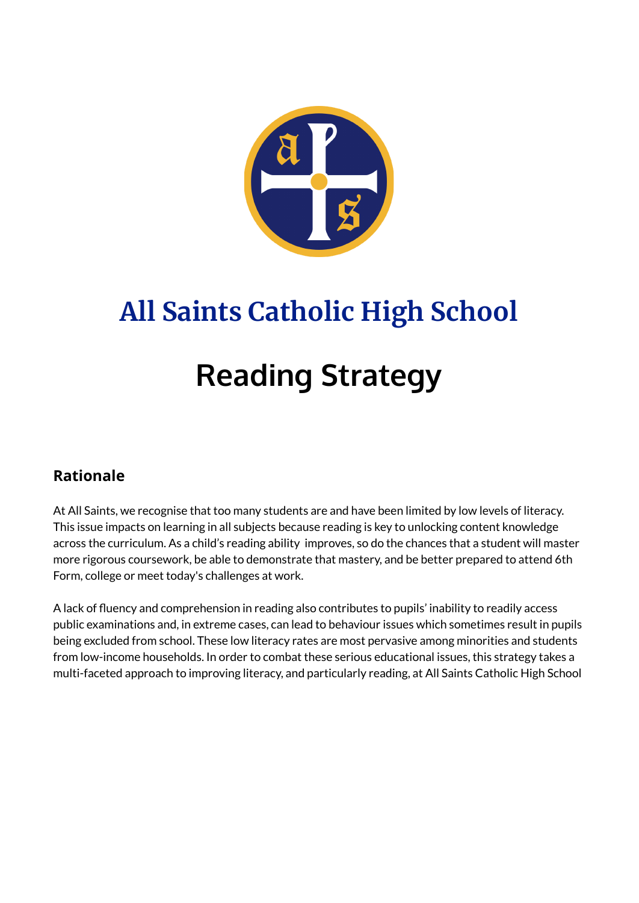

# **All Saints Catholic High School Reading Strategy**

#### **Rationale**

At All Saints, we recognise that too many students are and have been limited by low levels of literacy. This issue impacts on learning in all subjects because reading is key to unlocking content knowledge across the curriculum. As a child's reading ability improves, so do the chances that a student will master more rigorous coursework, be able to demonstrate that mastery, and be better prepared to attend 6th Form, college or meet today's challenges at work.

A lack of fluency and comprehension in reading also contributes to pupils' inability to readily access public examinations and, in extreme cases, can lead to behaviour issues which sometimes result in pupils being excluded from school. These low literacy rates are most pervasive among minorities and students from low-income households. In order to combat these serious educational issues, this strategy takes a multi-faceted approach to improving literacy, and particularly reading, at All Saints Catholic High School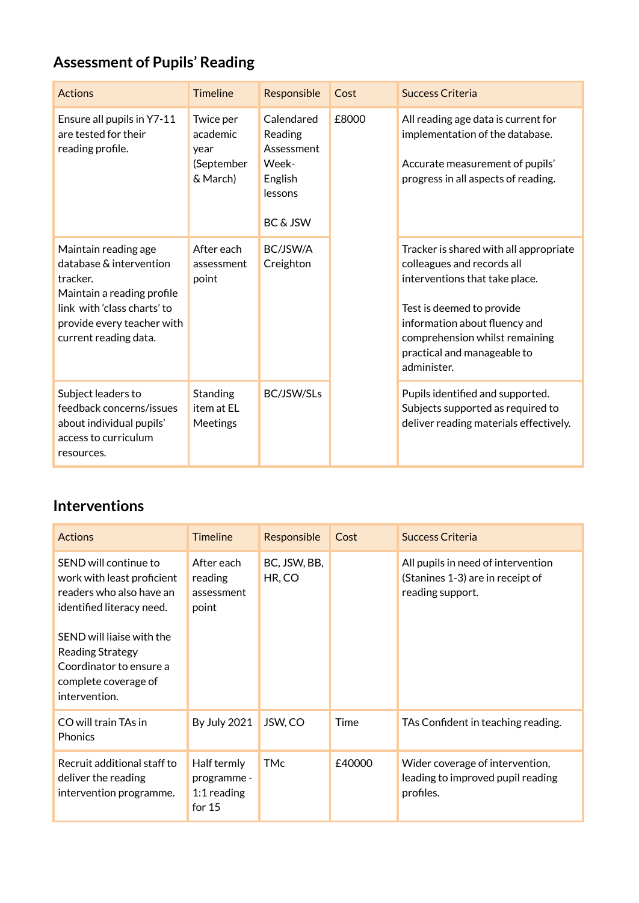## **Assessment of Pupils' Reading**

| <b>Actions</b>                                                                                                                                                                  | <b>Timeline</b>                                         | Responsible                                                                    | Cost  | <b>Success Criteria</b>                                                                                                                                                                                                                              |
|---------------------------------------------------------------------------------------------------------------------------------------------------------------------------------|---------------------------------------------------------|--------------------------------------------------------------------------------|-------|------------------------------------------------------------------------------------------------------------------------------------------------------------------------------------------------------------------------------------------------------|
| Ensure all pupils in Y7-11<br>are tested for their<br>reading profile.                                                                                                          | Twice per<br>academic<br>year<br>(September<br>& March) | Calendared<br>Reading<br>Assessment<br>Week-<br>English<br>lessons<br>BC & JSW | £8000 | All reading age data is current for<br>implementation of the database.<br>Accurate measurement of pupils'<br>progress in all aspects of reading.                                                                                                     |
| Maintain reading age<br>database & intervention<br>tracker.<br>Maintain a reading profile<br>link with 'class charts' to<br>provide every teacher with<br>current reading data. | After each<br>assessment<br>point                       | BC/JSW/A<br>Creighton                                                          |       | Tracker is shared with all appropriate<br>colleagues and records all<br>interventions that take place.<br>Test is deemed to provide<br>information about fluency and<br>comprehension whilst remaining<br>practical and manageable to<br>administer. |
| Subject leaders to<br>feedback concerns/issues<br>about individual pupils'<br>access to curriculum<br>resources.                                                                | Standing<br>item at EL<br>Meetings                      | BC/JSW/SLs                                                                     |       | Pupils identified and supported.<br>Subjects supported as required to<br>deliver reading materials effectively.                                                                                                                                      |

#### **Interventions**

| <b>Actions</b>                                                                                                                                                                                                                           | <b>Timeline</b>                                         | Responsible            | Cost   | Success Criteria                                                                           |
|------------------------------------------------------------------------------------------------------------------------------------------------------------------------------------------------------------------------------------------|---------------------------------------------------------|------------------------|--------|--------------------------------------------------------------------------------------------|
| SEND will continue to<br>work with least proficient<br>readers who also have an<br>identified literacy need.<br>SEND will liaise with the<br><b>Reading Strategy</b><br>Coordinator to ensure a<br>complete coverage of<br>intervention. | After each<br>reading<br>assessment<br>point            | BC, JSW, BB,<br>HR, CO |        | All pupils in need of intervention<br>(Stanines 1-3) are in receipt of<br>reading support. |
| CO will train TAs in<br><b>Phonics</b>                                                                                                                                                                                                   | <b>By July 2021</b>                                     | JSW, CO                | Time   | TAs Confident in teaching reading.                                                         |
| Recruit additional staff to<br>deliver the reading<br>intervention programme.                                                                                                                                                            | Half termly<br>programme -<br>$1:1$ reading<br>for $15$ | <b>TMc</b>             | £40000 | Wider coverage of intervention,<br>leading to improved pupil reading<br>profiles.          |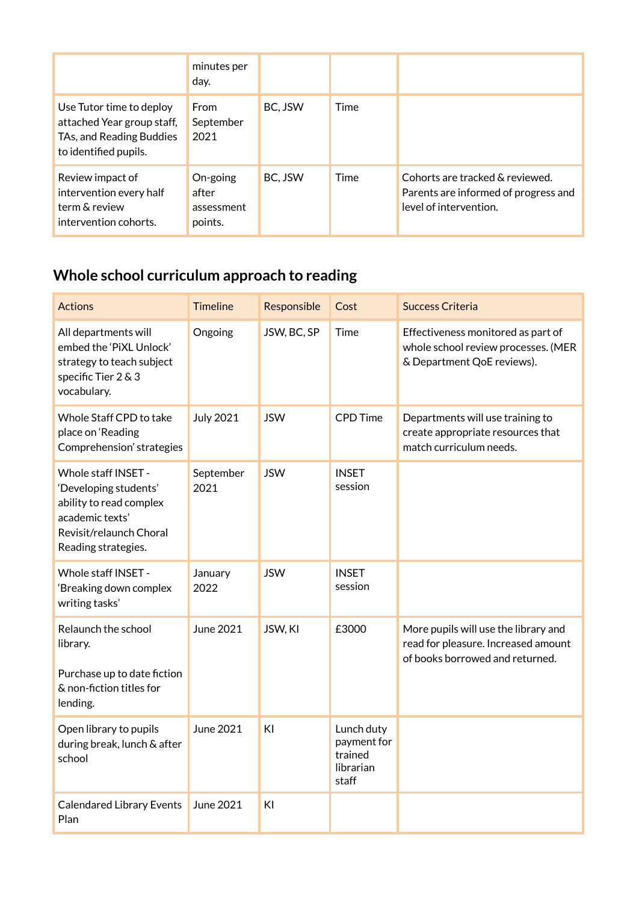|                                                                                                             | minutes per<br>day.                        |         |      |                                                                                                   |
|-------------------------------------------------------------------------------------------------------------|--------------------------------------------|---------|------|---------------------------------------------------------------------------------------------------|
| Use Tutor time to deploy<br>attached Year group staff,<br>TAs, and Reading Buddies<br>to identified pupils. | From<br>September<br>2021                  | BC. JSW | Time |                                                                                                   |
| Review impact of<br>intervention every half<br>term & review<br>intervention cohorts.                       | On-going<br>after<br>assessment<br>points. | BC, JSW | Time | Cohorts are tracked & reviewed.<br>Parents are informed of progress and<br>level of intervention. |

### **Whole school curriculum approach to reading**

| <b>Actions</b>                                                                                                                               | <b>Timeline</b>   | Responsible | Cost                                                       | <b>Success Criteria</b>                                                                                        |
|----------------------------------------------------------------------------------------------------------------------------------------------|-------------------|-------------|------------------------------------------------------------|----------------------------------------------------------------------------------------------------------------|
| All departments will<br>embed the 'PiXL Unlock'<br>strategy to teach subject<br>specific Tier 2 & 3<br>vocabulary.                           | Ongoing           | JSW, BC, SP | Time                                                       | Effectiveness monitored as part of<br>whole school review processes. (MER<br>& Department QoE reviews).        |
| Whole Staff CPD to take<br>place on 'Reading<br>Comprehension' strategies                                                                    | <b>July 2021</b>  | <b>JSW</b>  | <b>CPD Time</b>                                            | Departments will use training to<br>create appropriate resources that<br>match curriculum needs.               |
| Whole staff INSET -<br>'Developing students'<br>ability to read complex<br>academic texts'<br>Revisit/relaunch Choral<br>Reading strategies. | September<br>2021 | <b>JSW</b>  | <b>INSET</b><br>session                                    |                                                                                                                |
| Whole staff INSET -<br>'Breaking down complex<br>writing tasks'                                                                              | January<br>2022   | <b>JSW</b>  | <b>INSET</b><br>session                                    |                                                                                                                |
| Relaunch the school<br>library.<br>Purchase up to date fiction<br>& non-fiction titles for<br>lending.                                       | June 2021         | JSW, KI     | £3000                                                      | More pupils will use the library and<br>read for pleasure. Increased amount<br>of books borrowed and returned. |
| Open library to pupils<br>during break, lunch & after<br>school                                                                              | June 2021         | KI          | Lunch duty<br>payment for<br>trained<br>librarian<br>staff |                                                                                                                |
| <b>Calendared Library Events</b><br>Plan                                                                                                     | June 2021         | KI          |                                                            |                                                                                                                |